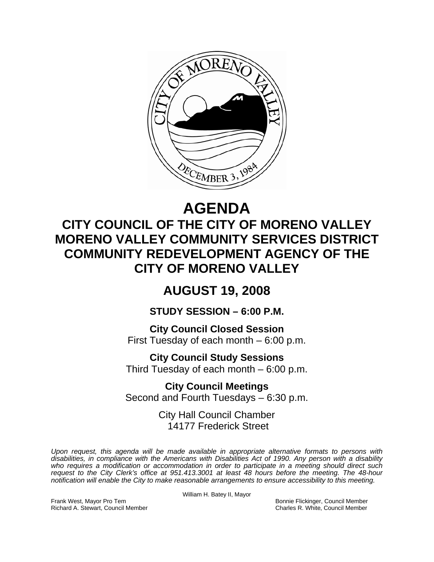

# **AGENDA**

## **CITY COUNCIL OF THE CITY OF MORENO VALLEY MORENO VALLEY COMMUNITY SERVICES DISTRICT COMMUNITY REDEVELOPMENT AGENCY OF THE CITY OF MORENO VALLEY**

### **AUGUST 19, 2008**

**STUDY SESSION – 6:00 P.M.** 

**City Council Closed Session**  First Tuesday of each month – 6:00 p.m.

**City Council Study Sessions**  Third Tuesday of each month – 6:00 p.m.

**City Council Meetings**  Second and Fourth Tuesdays – 6:30 p.m.

> City Hall Council Chamber 14177 Frederick Street

*Upon request, this agenda will be made available in appropriate alternative formats to persons with disabilities, in compliance with the Americans with Disabilities Act of 1990. Any person with a disability*  who requires a modification or accommodation in order to participate in a meeting should direct such *request to the City Clerk's office at 951.413.3001 at least 48 hours before the meeting. The 48-hour notification will enable the City to make reasonable arrangements to ensure accessibility to this meeting.* 

William H. Batey II, Mayor

Frank West, Mayor Pro Tem Bonnie Flickinger, Council Member Richard A. Stewart, Council Member Charles R. White, Council Member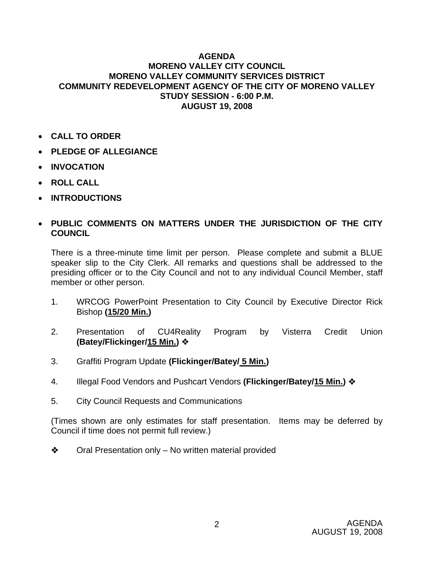#### **AGENDA MORENO VALLEY CITY COUNCIL MORENO VALLEY COMMUNITY SERVICES DISTRICT COMMUNITY REDEVELOPMENT AGENCY OF THE CITY OF MORENO VALLEY STUDY SESSION - 6:00 P.M. AUGUST 19, 2008**

- **CALL TO ORDER**
- **PLEDGE OF ALLEGIANCE**
- **INVOCATION**
- **ROLL CALL**
- **INTRODUCTIONS**

#### • **PUBLIC COMMENTS ON MATTERS UNDER THE JURISDICTION OF THE CITY COUNCIL**

There is a three-minute time limit per person. Please complete and submit a BLUE speaker slip to the City Clerk. All remarks and questions shall be addressed to the presiding officer or to the City Council and not to any individual Council Member, staff member or other person.

- 1. WRCOG PowerPoint Presentation to City Council by Executive Director Rick Bishop **(15/20 Min.)**
- 2. Presentation of CU4Reality Program by Visterra Credit Union **(Batey/Flickinger/15 Min.)**
- 3. Graffiti Program Update **(Flickinger/Batey/ 5 Min.)**
- 4. Illegal Food Vendors and Pushcart Vendors **(Flickinger/Batey/15 Min.)**
- 5. City Council Requests and Communications

(Times shown are only estimates for staff presentation. Items may be deferred by Council if time does not permit full review.)

 $\triangle$  Oral Presentation only – No written material provided